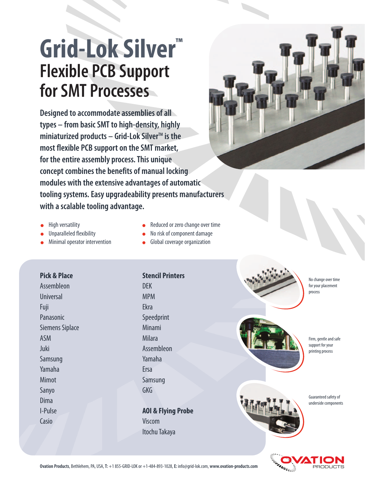# **Grid-Lok Silver™ Flexible PCB Support for SMT Processes**

**Designed to accommodate assemblies of all types – from basic SMT to high-density, highly miniaturized products – Grid-Lok Silver<sup>™</sup> is the most flexible PCB support on the SMT market, for the entire assembly process. This unique concept combines the benefits of manual locking modules with the extensive advantages of automatic tooling systems. Easy upgradeability presents manufacturers with a scalable tooling advantage.** 



- High versatility
- Unparalleled flexibility
- Minimal operator intervention
- Reduced or zero change over time  $\bullet$
- No risk of component damage  $\bullet$
- Global coverage organization

## **Pick & Place**

Assembleon Universal Fuji Panasonic Siemens Siplace ASM Juki Samsung Yamaha Mimot Sanyo Dima I-Pulse Casio

**Stencil Printers** DEK MPM Ekra Speedprint Minami Milara Assembleon Yamaha Ersa Samsung GKG

**AOI & Flying Probe** Viscom Itochu Takaya







Firm, gentle and safe support for your printing process

Guaranteed safety of underside components